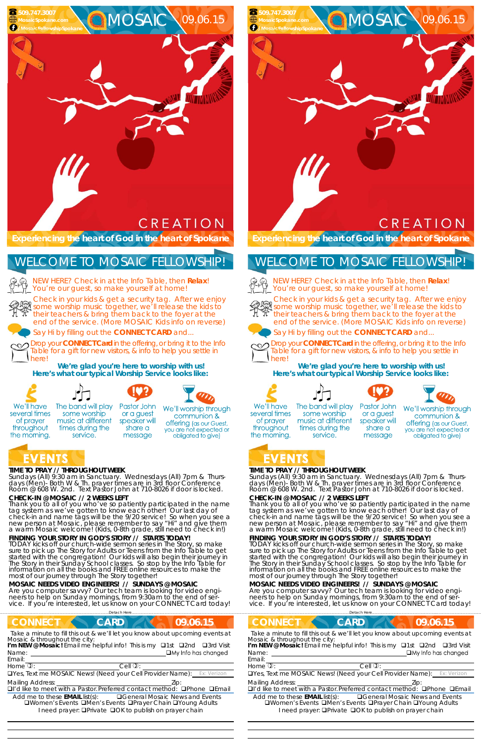#### **TIME TO PRAY // THROUGHOUT WEEK**

*Sundays* (All) 9:30 am in Sanctuary. *Wednesdays* (All) 7pm & *Thursdays* (Men)- Both W & Th. prayer times are in 3rd floor Conference<br>Room @ 608 W. 2nd. Text Pastor John at 710-8026 if door is locked.

#### **CHECK-IN @ MOSAIC // 2 WEEKS LEFT**

Thank you to all of you who've so patiently participated in the name tag system as we've gotten to know each other! Our last day of check-in and name tags will be the 9/20 service! So when you see a new person at Mosaic, please remember to say "Hi" and give them a warm Mosaic welcome! (Kids, 0-8th grade, still need to check in!)

NEW HERE? Check in at the Info Table, then **Relax**! You're our guest, so make yourself at home!

**FINDING YOUR STORY IN GOD'S STORY // STARTS TODAY!**  TODAY kicks off our church-wide sermon series in The Story, so make sure to pick up The Story for Adults or Teens from the Info Table to get started with the congregation! Our kids will also begin their journey in The Story in their Sunday School classes. So stop by the Info Table for information on all the books and FREE online resources to make the most of our journey through The Story together!

## **CREATION**

MOSAIC 09.06.15

#### **MOSAIC NEEDS VIDEO ENGINEERS! // SUNDAYS @ MOSAIC**

Are you computer savvy? Our tech team is looking for video engineers to help on Sunday mornings, from 9:30am to the end of service. If you're interested, let us know on your CONNECT Card today! *Sundays* (All) 9:30 am in Sanctuary. *Wednesdays* (All) 7pm & *Thursdays* (Men)- Both W & Th. prayer times are in 3rd floor Conference<br>Room @ 608 W. 2nd. Text Pastor John at 710-8026 if door is locked.

**Experiencing the heart of God in the heart of Spokane** 

Check in your kids & get a security tag. After we enjoy some worship music together, we'll release the kids to their teachers & bring them back to the foyer at the end of the service. (More MOSAIC Kids info on reverse)

Say Hi by filling out the **CONNECT CARD** and...

Drop your **CONNECT Card** in the offering, or bring it to the Info Table for a gift for new visitors, & info to help you settle in here!

**We're glad you're here to worship with us! Here's what our typical Worship Service looks like:** 



several times

of prayer

throughout

the morning.



NEW HERE? Check in at the Info Table, then **Relax**! You're our guest, so make yourself at home!



### WELCOME TO MOSAIC FELLOWSHIP!



Drop your **CONNECT Card** in the offering, or bring it to the Info Table for a gift for new visitors, & info to help you settle in herel

 **509.747.3007 MosaicSpokane.com** *MosaicFellowshipSpoka* 

 







We'll worship through communion & **offering** (as our Guest, you are not expected or obligated to give)

# EVENTS

### **TIME TO PRAY // THROUGHOUT WEEK**

### **CHECK-IN @ MOSAIC // 2 WEEKS LEFT**

Thank you to all of you who've so patiently participated in the name tag system as we've gotten to know each other! Our last day of check-in and name tags will be the 9/20 service! So when you see a new person at Mosaic, please remember to say "Hi" and give them a warm Mosaic welcome! (Kids, 0-8th grade, still need to check in!)

| <b>CONNECT</b>                                                                | <b>CONNECT</b>                                                                |
|-------------------------------------------------------------------------------|-------------------------------------------------------------------------------|
| <b>CARD</b>                                                                   | <b>CARD</b>                                                                   |
| 09.06.15                                                                      | 09.06.15                                                                      |
| Take a minute to fill this out & we'll let you know about upcoming events at  | Take a minute to fill this out & we'll let you know about upcoming events at  |
| Mosaic & throughout the city:                                                 | Mosaic & throughout the city:                                                 |
| I'm NEW @ Mosaic! Email me helpful info! This is my $\Box$ 1st $\Box$ 2nd     | I'm NEW @ Mosaic! Email me helpful info! This is my <b>Q1st Q2nd</b>          |
| □3rd Visit                                                                    | □3rd Visit                                                                    |
| $\Box$ My Info has changed                                                    | $\Box$ My Info has changed                                                    |
| Name:                                                                         | Name:                                                                         |
| Email:                                                                        | Email:                                                                        |
| Home $\overline{v}$ :                                                         | Home $\overline{v}$ :                                                         |
| Cell $\mathbb{Q}$ :                                                           | Cell $\mathbb{O}$ :                                                           |
| <b>OYes, Text me MOSAIC News! (Need your Cell Provider Name):</b> Ex: Verizon | <b>OYes, Text me MOSAIC News! (Need your Cell Provider Name):</b> Ex: Verizon |
| <b>Mailing Address:</b>                                                       | <b>Mailing Address:</b>                                                       |
| Zip:                                                                          | ZID:                                                                          |
| □I'd like to meet with a Pastor. Preferred contact method: □Phone □Email      | □I'd like to meet with a Pastor. Preferred contact method: □Phone □Email      |
| Add me to these <b>EMAIL</b> list(s):                                         | <b>QGeneral Mosaic News and Events</b>                                        |
| <b>Q</b> General Mosaic News and Events                                       | Add me to these <b>EMAIL</b> list(s):                                         |
| <b>QWomen's Events QMen's Events QPrayer Chain QYoung Adults</b>              | <b>QWomen's Events QMen's Events QPrayer Chain QYoung Adults</b>              |
| I need prayer: <b>QPrivate QOK to publish on prayer chain</b>                 | I need prayer: <b>QPrivate QOK to publish on prayer chain</b>                 |

**FINDING YOUR STORY IN GOD'S STORY // STARTS TODAY!**  TODAY kicks off our church-wide sermon series in The Story, so make sure to pick up The Story for Adults or Teens from the Info Table to get started with the congregation! Our kids will also begin their journey in The Story in their Sunday School classes. So stop by the Info Table for information on all the books and FREE online resources to make the most of our journey through The Story together!

#### **MOSAIC NEEDS VIDEO ENGINEERS! // SUNDAYS @ MOSAIC**

Are you computer savvy? Our tech team is looking for video engineers to help on Sunday mornings, from 9:30am to the end of service. If you're interested, let us know on your CONNECT Card today!

**Experiencing the heart of God in the heart of Spokane** 

Check in your kids & get a security tag. After we enjoy some worship music together, we'll release the kids to their teachers & bring them back to the foyer at the end of the service. (More MOSAIC Kids info on reverse)



Say Hi by filling out the **CONNECT CARD** and...



**We're glad you're here to worship with us! Here's what our typical Worship Service looks like:** 



several times

of prayer

throughout

the morning.



some worship

music at different

times during the

service.





Pastor John or a guest speaker will share a message

We'll worship through communion & offering (as our Guest, you are not expected or obligated to give)

## EVENTS

## WELCOME TO MOSAIC FELLOWSHIP!